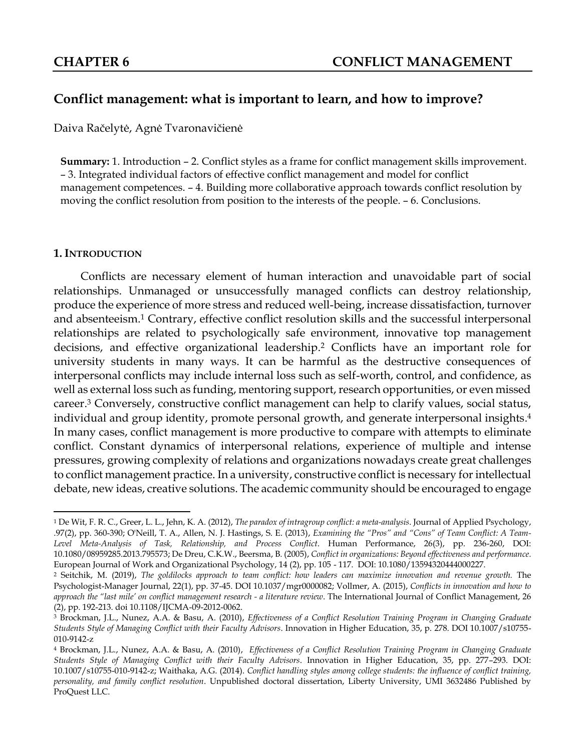## **Conflict management: what is important to learn, and how to improve?**

Daiva Račelytė, Agnė Tvaronavičienė

**Summary:** 1. Introduction – 2. Conflict styles as a frame for conflict management skills improvement. – 3. Integrated individual factors of effective conflict management and model for conflict management competences. – 4. Building more collaborative approach towards conflict resolution by moving the conflict resolution from position to the interests of the people. – 6. Conclusions.

#### **1. INTRODUCTION**

Conflicts are necessary element of human interaction and unavoidable part of social relationships. Unmanaged or unsuccessfully managed conflicts can destroy relationship, produce the experience of more stress and reduced well-being, increase dissatisfaction, turnover and absenteeism. <sup>1</sup> Contrary, effective conflict resolution skills and the successful interpersonal relationships are related to psychologically safe environment, innovative top management decisions, and effective organizational leadership. <sup>2</sup> Conflicts have an important role for university students in many ways. It can be harmful as the destructive consequences of interpersonal conflicts may include internal loss such as self-worth, control, and confidence, as well as external loss such as funding, mentoring support, research opportunities, or even missed career. <sup>3</sup> Conversely, constructive conflict management can help to clarify values, social status, individual and group identity, promote personal growth, and generate interpersonal insights. 4 In many cases, conflict management is more productive to compare with attempts to eliminate conflict. Constant dynamics of interpersonal relations, experience of multiple and intense pressures, growing complexity of relations and organizations nowadays create great challenges to conflict management practice. In a university, constructive conflict is necessary for intellectual debate, new ideas, creative solutions. The academic community should be encouraged to engage

 $\overline{\phantom{a}}$ <sup>1</sup> De Wit, F. R. C., Greer, L. L., Jehn, K. A. (2012), *The paradox of intragroup conflict: a meta-analysis*. Journal of Applied Psychology, .97(2), pp. 360-390; O'Neill, T. A., Allen, N. J. Hastings, S. E. (2013), *Examining the "Pros" and "Cons" of Team Conflict: A Team-Level Meta-Analysis of Task, Relationship, and Process Conflict*. Human Performance, 26(3), pp. 236-260, DOI: 10.1080/08959285.2013.795573; De Dreu, C.K.W., Beersma, B. (2005), *Conflict in organizations: Beyond effectiveness and performance.* European Journal of Work and Organizational Psychology, 14 (2), pp. 105 - 117. DOI: 10.1080/13594320444000227.

<sup>2</sup> Seitchik, M. (2019), *The goldilocks approach to team conflict: how leaders can maximize innovation and revenue growth.* The Psychologist-Manager Journal, 22(1), pp. 37-45. DOI 10.1037/mgr0000082; Vollmer, A. (2015), *Conflicts in innovation and how to approach the "last mile' on conflict management research - a literature review*. The International Journal of Conflict Management, 26 (2), pp. 192-213. doi 10.1108/IJCMA-09-2012-0062.

<sup>3</sup> Brockman, J.L., Nunez, A.A. & Basu, A. (2010), *Effectiveness of a Conflict Resolution Training Program in Changing Graduate Students Style of Managing Conflict with their Faculty Advisors*. Innovation in Higher Education, 35, p. 278. DOI 10.1007/s10755- 010-9142-z

<sup>4</sup> Brockman, J.L., Nunez, A.A. & Basu, A. (2010), *Effectiveness of a Conflict Resolution Training Program in Changing Graduate Students Style of Managing Conflict with their Faculty Advisors*. Innovation in Higher Education, 35, pp. 277–293. DOI: 10.1007/s10755-010-9142-z; Waithaka, A.G. (2014). *Conflict handling styles among college students: the influence of conflict training, personality, and family conflict resolution*. Unpublished doctoral dissertation, Liberty University, UMI 3632486 Published by ProQuest LLC.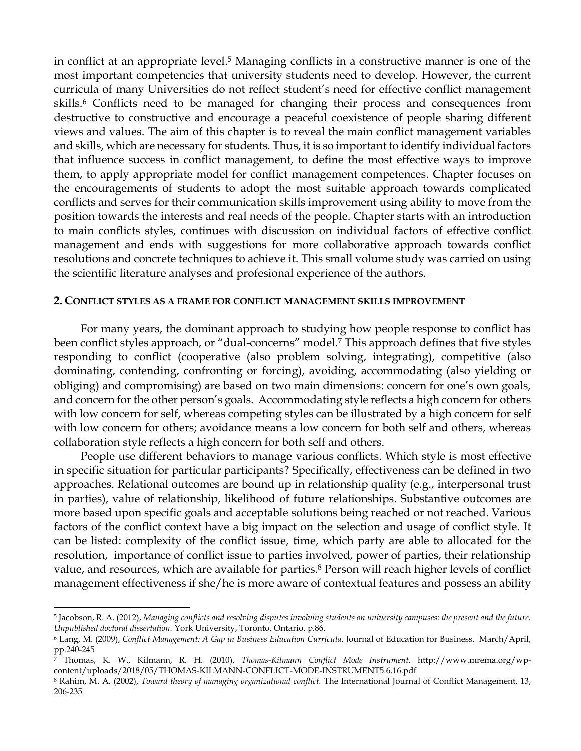in conflict at an appropriate level. <sup>5</sup> Managing conflicts in a constructive manner is one of the most important competencies that university students need to develop. However, the current curricula of many Universities do not reflect student's need for effective conflict management skills. <sup>6</sup> Conflicts need to be managed for changing their process and consequences from destructive to constructive and encourage a peaceful coexistence of people sharing different views and values. The aim of this chapter is to reveal the main conflict management variables and skills, which are necessary for students. Thus, it is so important to identify individual factors that influence success in conflict management, to define the most effective ways to improve them, to apply appropriate model for conflict management competences. Chapter focuses on the encouragements of students to adopt the most suitable approach towards complicated conflicts and serves for their communication skills improvement using ability to move from the position towards the interests and real needs of the people. Chapter starts with an introduction to main conflicts styles, continues with discussion on individual factors of effective conflict management and ends with suggestions for more collaborative approach towards conflict resolutions and concrete techniques to achieve it. This small volume study was carried on using the scientific literature analyses and profesional experience of the authors.

#### **2. CONFLICT STYLES AS A FRAME FOR CONFLICT MANAGEMENT SKILLS IMPROVEMENT**

For many years, the dominant approach to studying how people response to conflict has been conflict styles approach, or "dual-concerns" model. <sup>7</sup> This approach defines that five styles responding to conflict (cooperative (also problem solving, integrating), competitive (also dominating, contending, confronting or forcing), avoiding, accommodating (also yielding or obliging) and compromising) are based on two main dimensions: concern for one's own goals, and concern for the other person's goals. Accommodating style reflects a high concern for others with low concern for self, whereas competing styles can be illustrated by a high concern for self with low concern for others; avoidance means a low concern for both self and others, whereas collaboration style reflects a high concern for both self and others.

People use different behaviors to manage various conflicts. Which style is most effective in specific situation for particular participants? Specifically, effectiveness can be defined in two approaches. Relational outcomes are bound up in relationship quality (e.g., interpersonal trust in parties), value of relationship, likelihood of future relationships. Substantive outcomes are more based upon specific goals and acceptable solutions being reached or not reached. Various factors of the conflict context have a big impact on the selection and usage of conflict style. It can be listed: complexity of the conflict issue, time, which party are able to allocated for the resolution, importance of conflict issue to parties involved, power of parties, their relationship value, and resources, which are available for parties. <sup>8</sup> Person will reach higher levels of conflict management effectiveness if she/he is more aware of contextual features and possess an ability

<sup>5</sup> Jacobson, R. A. (2012), *Managing conflicts and resolving disputes involving students on university campuses: the present and the future. Unpublished doctoral dissertation.* York University, Toronto, Ontario, p.86.

<sup>6</sup> Lang, M. (2009), *Conflict Management: A Gap in Business Education Curricula.* Journal of Education for Business. March/April, pp.240-245

<sup>7</sup> Thomas, K. W., Kilmann, R. H. (2010), *Thomas-Kilmann Conflict Mode Instrument.* http://www.mrema.org/wpcontent/uploads/2018/05/THOMAS-KILMANN-CONFLICT-MODE-INSTRUMENT5.6.16.pdf

<sup>8</sup> Rahim, M. A. (2002), *Toward theory of managing organizational conflict.* The International Journal of Conflict Management, 13, 206-235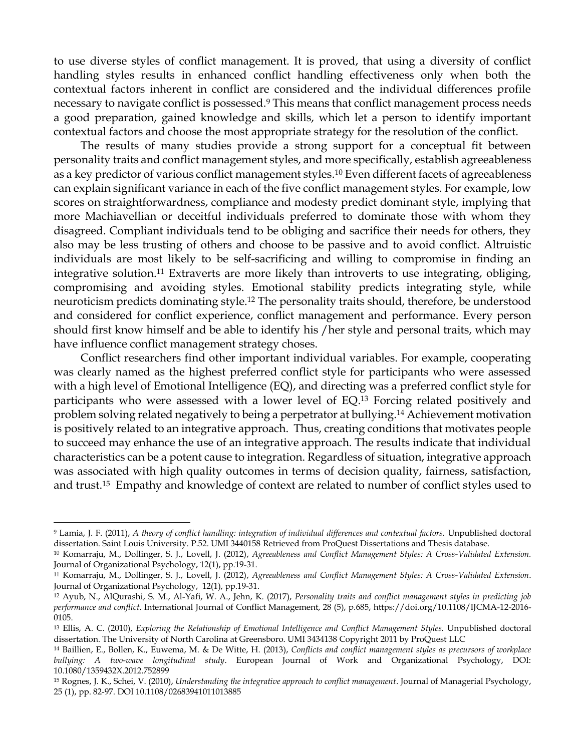to use diverse styles of conflict management. It is proved, that using a diversity of conflict handling styles results in enhanced conflict handling effectiveness only when both the contextual factors inherent in conflict are considered and the individual differences profile necessary to navigate conflict is possessed.<sup>9</sup> This means that conflict management process needs a good preparation, gained knowledge and skills, which let a person to identify important contextual factors and choose the most appropriate strategy for the resolution of the conflict.

The results of many studies provide a strong support for a conceptual fit between personality traits and conflict management styles, and more specifically, establish agreeableness as a key predictor of various conflict management styles. <sup>10</sup> Even different facets of agreeableness can explain significant variance in each of the five conflict management styles. For example, low scores on straightforwardness, compliance and modesty predict dominant style, implying that more Machiavellian or deceitful individuals preferred to dominate those with whom they disagreed. Compliant individuals tend to be obliging and sacrifice their needs for others, they also may be less trusting of others and choose to be passive and to avoid conflict. Altruistic individuals are most likely to be self-sacrificing and willing to compromise in finding an integrative solution. <sup>11</sup> Extraverts are more likely than introverts to use integrating, obliging, compromising and avoiding styles. Emotional stability predicts integrating style, while neuroticism predicts dominating style.<sup>12</sup> The personality traits should, therefore, be understood and considered for conflict experience, conflict management and performance. Every person should first know himself and be able to identify his /her style and personal traits, which may have influence conflict management strategy choses.

Conflict researchers find other important individual variables. For example, cooperating was clearly named as the highest preferred conflict style for participants who were assessed with a high level of Emotional Intelligence (EQ), and directing was a preferred conflict style for participants who were assessed with a lower level of EQ. <sup>13</sup> Forcing related positively and problem solving related negatively to being a perpetrator at bullying. <sup>14</sup> Achievement motivation is positively related to an integrative approach. Thus, creating conditions that motivates people to succeed may enhance the use of an integrative approach. The results indicate that individual characteristics can be a potent cause to integration. Regardless of situation, integrative approach was associated with high quality outcomes in terms of decision quality, fairness, satisfaction, and trust. <sup>15</sup> Empathy and knowledge of context are related to number of conflict styles used to

<sup>9</sup> Lamia, J. F. (2011), *A theory of conflict handling: integration of individual differences and contextual factors.* Unpublished doctoral dissertation. Saint Louis University. P.52. UMI 3440158 Retrieved from ProQuest Dissertations and Thesis database.

<sup>10</sup> Komarraju, M., Dollinger, S. J., Lovell, J. (2012), *Agreeableness and Conflict Management Styles: A Cross-Validated Extension.* Journal of Organizational Psychology, 12(1), pp.19-31.

<sup>11</sup> Komarraju, M., Dollinger, S. J., Lovell, J. (2012), *Agreeableness and Conflict Management Styles: A Cross-Validated Extension*. Journal of Organizational Psychology, 12(1), pp.19-31.

<sup>12</sup> Ayub, N., AlQurashi, S. M., Al-Yafi, W. A., Jehn, K. (2017), *Personality traits and conflict management styles in predicting job performance and conflict*. International Journal of Conflict Management, 28 (5), p.685, https://doi.org/10.1108/IJCMA-12-2016- 0105.

<sup>13</sup> Ellis, A. C. (2010), *Exploring the Relationship of Emotional Intelligence and Conflict Management Styles.* Unpublished doctoral dissertation. The University of North Carolina at Greensboro. UMI 3434138 Copyright 2011 by ProQuest LLC

<sup>14</sup> Baillien, E., Bollen, K., Euwema, M. & De Witte, H. (2013), *Conflicts and conflict management styles as precursors of workplace bullying: A two-wave longitudinal study*. European Journal of Work and Organizational Psychology, DOI: 10.1080/1359432X.2012.752899

<sup>15</sup> Rognes, J. K., Schei, V. (2010), *Understanding the integrative approach to conflict management*. Journal of Managerial Psychology, 25 (1), pp. 82-97. DOI 10.1108/02683941011013885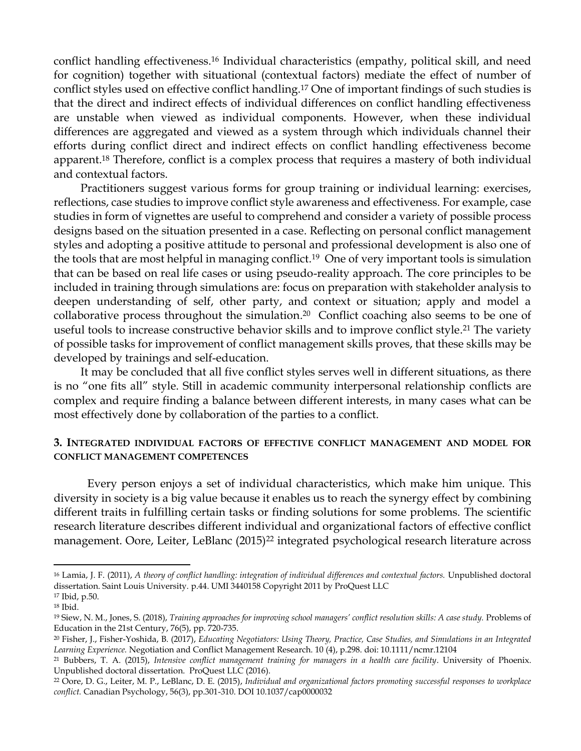conflict handling effectiveness. <sup>16</sup> Individual characteristics (empathy, political skill, and need for cognition) together with situational (contextual factors) mediate the effect of number of conflict styles used on effective conflict handling. <sup>17</sup> One of important findings of such studies is that the direct and indirect effects of individual differences on conflict handling effectiveness are unstable when viewed as individual components. However, when these individual differences are aggregated and viewed as a system through which individuals channel their efforts during conflict direct and indirect effects on conflict handling effectiveness become apparent. <sup>18</sup> Therefore, conflict is a complex process that requires a mastery of both individual and contextual factors.

Practitioners suggest various forms for group training or individual learning: exercises, reflections, case studies to improve conflict style awareness and effectiveness. For example, case studies in form of vignettes are useful to comprehend and consider a variety of possible process designs based on the situation presented in a case. Reflecting on personal conflict management styles and adopting a positive attitude to personal and professional development is also one of the tools that are most helpful in managing conflict. <sup>19</sup> One of very important tools is simulation that can be based on real life cases or using pseudo-reality approach. The core principles to be included in training through simulations are: focus on preparation with stakeholder analysis to deepen understanding of self, other party, and context or situation; apply and model a collaborative process throughout the simulation. <sup>20</sup> Conflict coaching also seems to be one of useful tools to increase constructive behavior skills and to improve conflict style.<sup>21</sup> The variety of possible tasks for improvement of conflict management skills proves, that these skills may be developed by trainings and self-education.

It may be concluded that all five conflict styles serves well in different situations, as there is no "one fits all" style. Still in academic community interpersonal relationship conflicts are complex and require finding a balance between different interests, in many cases what can be most effectively done by collaboration of the parties to a conflict.

#### **3. INTEGRATED INDIVIDUAL FACTORS OF EFFECTIVE CONFLICT MANAGEMENT AND MODEL FOR CONFLICT MANAGEMENT COMPETENCES**

Every person enjoys a set of individual characteristics, which make him unique. This diversity in society is a big value because it enables us to reach the synergy effect by combining different traits in fulfilling certain tasks or finding solutions for some problems. The scientific research literature describes different individual and organizational factors of effective conflict management. Oore, Leiter, LeBlanc (2015)<sup>22</sup> integrated psychological research literature across

 $\overline{a}$ 

<sup>16</sup> Lamia, J. F. (2011), *A theory of conflict handling: integration of individual differences and contextual factors.* Unpublished doctoral dissertation. Saint Louis University. p.44. UMI 3440158 Copyright 2011 by ProQuest LLC

<sup>17</sup> Ibid, p.50. <sup>18</sup> Ibid.

<sup>19</sup> Siew, N. M., Jones, S. (2018), *Training approaches for improving school managers' conflict resolution skills: A case study.* Problems of Education in the 21st Century, 76(5), pp. 720-735.

<sup>20</sup> Fisher, J., Fisher-Yoshida, B. (2017), *Educating Negotiators: Using Theory, Practice, Case Studies, and Simulations in an Integrated Learning Experience.* Negotiation and Conflict Management Research. 10 (4), p.298. doi: 10.1111/ncmr.12104

<sup>21</sup> Bubbers, T. A. (2015), *Intensive conflict management training for managers in a health care facility*. University of Phoenix. Unpublished doctoral dissertation. ProQuest LLC (2016).

<sup>22</sup> Oore, D. G., Leiter, M. P., LeBlanc, D. E. (2015), *Individual and organizational factors promoting successful responses to workplace conflict.* Canadian Psychology, 56(3), pp.301-310. DOI 10.1037/cap0000032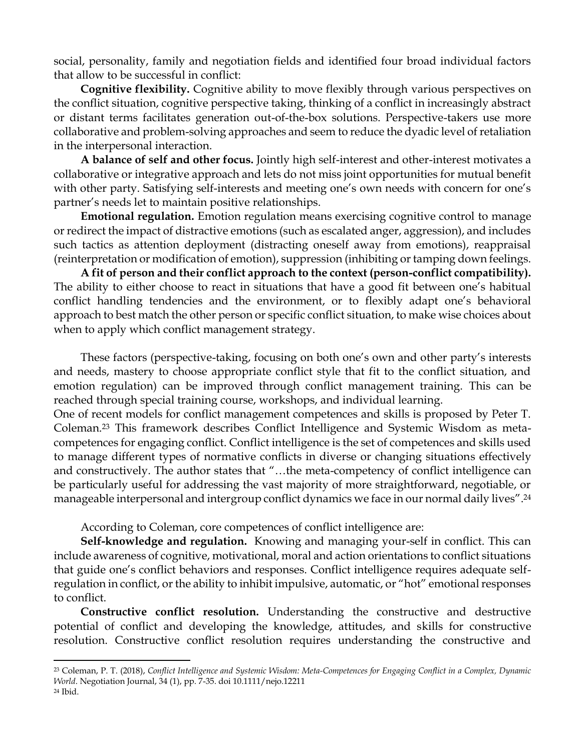social, personality, family and negotiation fields and identified four broad individual factors that allow to be successful in conflict:

**Cognitive flexibility.** Cognitive ability to move flexibly through various perspectives on the conflict situation, cognitive perspective taking, thinking of a conflict in increasingly abstract or distant terms facilitates generation out-of-the-box solutions. Perspective-takers use more collaborative and problem-solving approaches and seem to reduce the dyadic level of retaliation in the interpersonal interaction.

**A balance of self and other focus.** Jointly high self-interest and other-interest motivates a collaborative or integrative approach and lets do not miss joint opportunities for mutual benefit with other party. Satisfying self-interests and meeting one's own needs with concern for one's partner's needs let to maintain positive relationships.

**Emotional regulation.** Emotion regulation means exercising cognitive control to manage or redirect the impact of distractive emotions (such as escalated anger, aggression), and includes such tactics as attention deployment (distracting oneself away from emotions), reappraisal (reinterpretation or modification of emotion), suppression (inhibiting or tamping down feelings.

**A fit of person and their conflict approach to the context (person-conflict compatibility).**  The ability to either choose to react in situations that have a good fit between one's habitual conflict handling tendencies and the environment, or to flexibly adapt one's behavioral approach to best match the other person or specific conflict situation, to make wise choices about when to apply which conflict management strategy.

These factors (perspective-taking, focusing on both one's own and other party's interests and needs, mastery to choose appropriate conflict style that fit to the conflict situation, and emotion regulation) can be improved through conflict management training. This can be reached through special training course, workshops, and individual learning.

One of recent models for conflict management competences and skills is proposed by Peter T. Coleman. <sup>23</sup> This framework describes Conflict Intelligence and Systemic Wisdom as metacompetences for engaging conflict. Conflict intelligence is the set of competences and skills used to manage different types of normative conflicts in diverse or changing situations effectively and constructively. The author states that "…the meta-competency of conflict intelligence can be particularly useful for addressing the vast majority of more straightforward, negotiable, or manageable interpersonal and intergroup conflict dynamics we face in our normal daily lives". 24

According to Coleman, core competences of conflict intelligence are:

 $\overline{\phantom{a}}$ 

**Self-knowledge and regulation.** Knowing and managing your-self in conflict. This can include awareness of cognitive, motivational, moral and action orientations to conflict situations that guide one's conflict behaviors and responses. Conflict intelligence requires adequate selfregulation in conflict, or the ability to inhibit impulsive, automatic, or "hot" emotional responses to conflict.

**Constructive conflict resolution.** Understanding the constructive and destructive potential of conflict and developing the knowledge, attitudes, and skills for constructive resolution. Constructive conflict resolution requires understanding the constructive and

<sup>23</sup> Coleman, P. T. (2018), *Conflict Intelligence and Systemic Wisdom: Meta-Competences for Engaging Conflict in a Complex, Dynamic World*. Negotiation Journal, 34 (1), pp. 7-35. doi 10.1111/nejo.12211 <sup>24</sup> Ibid.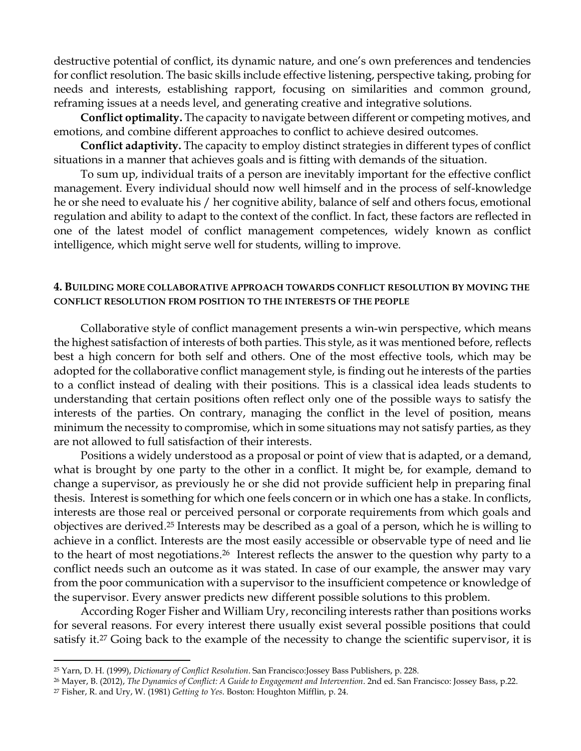destructive potential of conflict, its dynamic nature, and one's own preferences and tendencies for conflict resolution. The basic skills include effective listening, perspective taking, probing for needs and interests, establishing rapport, focusing on similarities and common ground, reframing issues at a needs level, and generating creative and integrative solutions.

**Conflict optimality.** The capacity to navigate between different or competing motives, and emotions, and combine different approaches to conflict to achieve desired outcomes.

**Conflict adaptivity.** The capacity to employ distinct strategies in different types of conflict situations in a manner that achieves goals and is fitting with demands of the situation.

To sum up, individual traits of a person are inevitably important for the effective conflict management. Every individual should now well himself and in the process of self-knowledge he or she need to evaluate his / her cognitive ability, balance of self and others focus, emotional regulation and ability to adapt to the context of the conflict. In fact, these factors are reflected in one of the latest model of conflict management competences, widely known as conflict intelligence, which might serve well for students, willing to improve.

#### **4. BUILDING MORE COLLABORATIVE APPROACH TOWARDS CONFLICT RESOLUTION BY MOVING THE CONFLICT RESOLUTION FROM POSITION TO THE INTERESTS OF THE PEOPLE**

Collaborative style of conflict management presents a win-win perspective, which means the highest satisfaction of interests of both parties. This style, as it was mentioned before, reflects best a high concern for both self and others. One of the most effective tools, which may be adopted for the collaborative conflict management style, is finding out he interests of the parties to a conflict instead of dealing with their positions. This is a classical idea leads students to understanding that certain positions often reflect only one of the possible ways to satisfy the interests of the parties. On contrary, managing the conflict in the level of position, means minimum the necessity to compromise, which in some situations may not satisfy parties, as they are not allowed to full satisfaction of their interests.

Positions a widely understood as a proposal or point of view that is adapted, or a demand, what is brought by one party to the other in a conflict. It might be, for example, demand to change a supervisor, as previously he or she did not provide sufficient help in preparing final thesis. Interest is something for which one feels concern or in which one has a stake. In conflicts, interests are those real or perceived personal or corporate requirements from which goals and objectives are derived. <sup>25</sup> Interests may be described as a goal of a person, which he is willing to achieve in a conflict. Interests are the most easily accessible or observable type of need and lie to the heart of most negotiations. <sup>26</sup> Interest reflects the answer to the question why party to a conflict needs such an outcome as it was stated. In case of our example, the answer may vary from the poor communication with a supervisor to the insufficient competence or knowledge of the supervisor. Every answer predicts new different possible solutions to this problem.

According Roger Fisher and William Ury, reconciling interests rather than positions works for several reasons. For every interest there usually exist several possible positions that could satisfy it.<sup>27</sup> Going back to the example of the necessity to change the scientific supervisor, it is

<sup>25</sup> Yarn, D. H. (1999), *Dictionary of Conflict Resolution*. San Francisco:Jossey Bass Publishers, p. 228.

<sup>26</sup> Mayer, B. (2012), *The Dynamics of Conflict: A Guide to Engagement and Intervention*. 2nd ed. San Francisco: Jossey Bass, p.22.

<sup>27</sup> Fisher, R. and Ury, W. (1981) *Getting to Yes*. Boston: Houghton Mifflin, p. 24.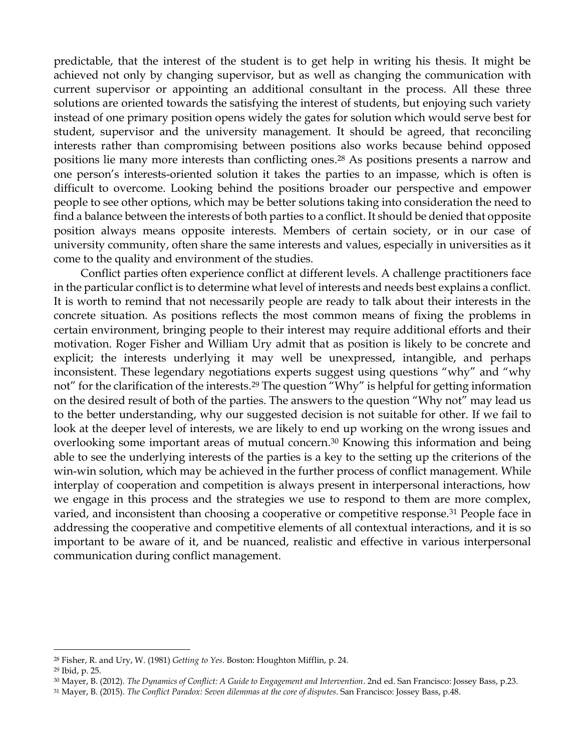predictable, that the interest of the student is to get help in writing his thesis. It might be achieved not only by changing supervisor, but as well as changing the communication with current supervisor or appointing an additional consultant in the process. All these three solutions are oriented towards the satisfying the interest of students, but enjoying such variety instead of one primary position opens widely the gates for solution which would serve best for student, supervisor and the university management. It should be agreed, that reconciling interests rather than compromising between positions also works because behind opposed positions lie many more interests than conflicting ones. <sup>28</sup> As positions presents a narrow and one person's interests-oriented solution it takes the parties to an impasse, which is often is difficult to overcome. Looking behind the positions broader our perspective and empower people to see other options, which may be better solutions taking into consideration the need to find a balance between the interests of both parties to a conflict. It should be denied that opposite position always means opposite interests. Members of certain society, or in our case of university community, often share the same interests and values, especially in universities as it come to the quality and environment of the studies.

Conflict parties often experience conflict at different levels. A challenge practitioners face in the particular conflict is to determine what level of interests and needs best explains a conflict. It is worth to remind that not necessarily people are ready to talk about their interests in the concrete situation. As positions reflects the most common means of fixing the problems in certain environment, bringing people to their interest may require additional efforts and their motivation. Roger Fisher and William Ury admit that as position is likely to be concrete and explicit; the interests underlying it may well be unexpressed, intangible, and perhaps inconsistent. These legendary negotiations experts suggest using questions "why" and "why not" for the clarification of the interests. <sup>29</sup> The question "Why" is helpful for getting information on the desired result of both of the parties. The answers to the question "Why not" may lead us to the better understanding, why our suggested decision is not suitable for other. If we fail to look at the deeper level of interests, we are likely to end up working on the wrong issues and overlooking some important areas of mutual concern. <sup>30</sup> Knowing this information and being able to see the underlying interests of the parties is a key to the setting up the criterions of the win-win solution, which may be achieved in the further process of conflict management. While interplay of cooperation and competition is always present in interpersonal interactions, how we engage in this process and the strategies we use to respond to them are more complex, varied, and inconsistent than choosing a cooperative or competitive response.<sup>31</sup> People face in addressing the cooperative and competitive elements of all contextual interactions, and it is so important to be aware of it, and be nuanced, realistic and effective in various interpersonal communication during conflict management.

<sup>28</sup> Fisher, R. and Ury, W. (1981) *Getting to Yes*. Boston: Houghton Mifflin, p. 24.

<sup>29</sup> Ibid, p. 25.

<sup>30</sup> Mayer, B. (2012). *The Dynamics of Conflict: A Guide to Engagement and Intervention*. 2nd ed. San Francisco: Jossey Bass, p.23.

<sup>31</sup> Mayer, B. (2015). *The Conflict Paradox: Seven dilemmas at the core of disputes*. San Francisco: Jossey Bass, p.48.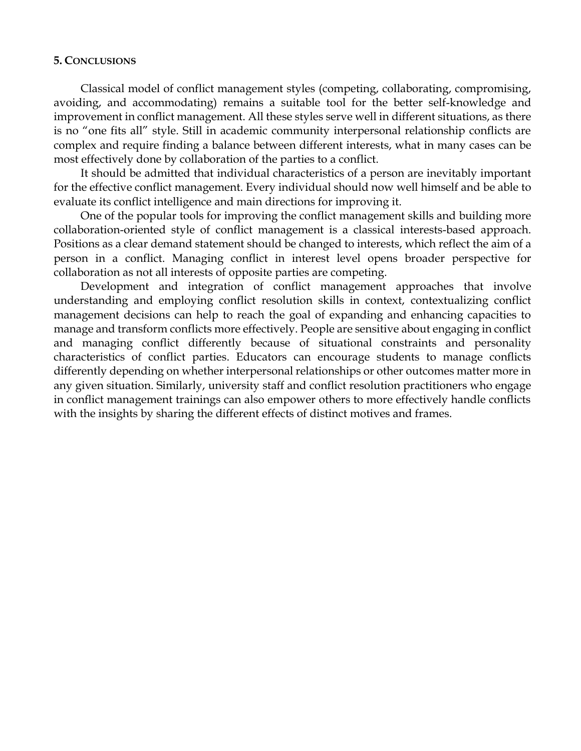#### **5. CONCLUSIONS**

Classical model of conflict management styles (competing, collaborating, compromising, avoiding, and accommodating) remains a suitable tool for the better self-knowledge and improvement in conflict management. All these styles serve well in different situations, as there is no "one fits all" style. Still in academic community interpersonal relationship conflicts are complex and require finding a balance between different interests, what in many cases can be most effectively done by collaboration of the parties to a conflict.

It should be admitted that individual characteristics of a person are inevitably important for the effective conflict management. Every individual should now well himself and be able to evaluate its conflict intelligence and main directions for improving it.

One of the popular tools for improving the conflict management skills and building more collaboration-oriented style of conflict management is a classical interests-based approach. Positions as a clear demand statement should be changed to interests, which reflect the aim of a person in a conflict. Managing conflict in interest level opens broader perspective for collaboration as not all interests of opposite parties are competing.

Development and integration of conflict management approaches that involve understanding and employing conflict resolution skills in context, contextualizing conflict management decisions can help to reach the goal of expanding and enhancing capacities to manage and transform conflicts more effectively. People are sensitive about engaging in conflict and managing conflict differently because of situational constraints and personality characteristics of conflict parties. Educators can encourage students to manage conflicts differently depending on whether interpersonal relationships or other outcomes matter more in any given situation. Similarly, university staff and conflict resolution practitioners who engage in conflict management trainings can also empower others to more effectively handle conflicts with the insights by sharing the different effects of distinct motives and frames.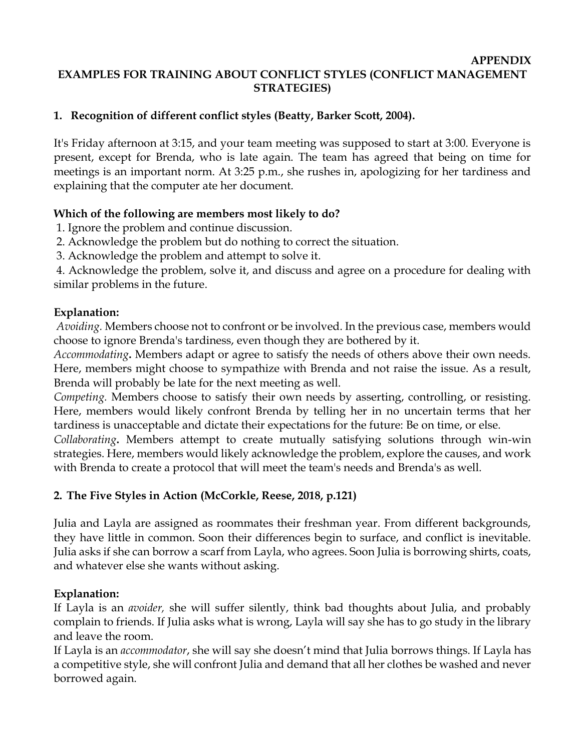#### **APPENDIX EXAMPLES FOR TRAINING ABOUT CONFLICT STYLES (CONFLICT MANAGEMENT STRATEGIES)**

## **1. Recognition of different conflict styles (Beatty, Barker Scott, 2004).**

It's Friday afternoon at 3:15, and your team meeting was supposed to start at 3:00. Everyone is present, except for Brenda, who is late again. The team has agreed that being on time for meetings is an important norm. At 3:25 p.m., she rushes in, apologizing for her tardiness and explaining that the computer ate her document.

### **Which of the following are members most likely to do?**

1. Ignore the problem and continue discussion.

2. Acknowledge the problem but do nothing to correct the situation.

3. Acknowledge the problem and attempt to solve it.

4. Acknowledge the problem, solve it, and discuss and agree on a procedure for dealing with similar problems in the future.

### **Explanation:**

*Avoiding.* Members choose not to confront or be involved. In the previous case, members would choose to ignore Brenda's tardiness, even though they are bothered by it.

*Accommodating***.** Members adapt or agree to satisfy the needs of others above their own needs. Here, members might choose to sympathize with Brenda and not raise the issue. As a result, Brenda will probably be late for the next meeting as well.

*Competing.* Members choose to satisfy their own needs by asserting, controlling, or resisting. Here, members would likely confront Brenda by telling her in no uncertain terms that her tardiness is unacceptable and dictate their expectations for the future: Be on time, or else.

*Collaborating***.** Members attempt to create mutually satisfying solutions through win-win strategies. Here, members would likely acknowledge the problem, explore the causes, and work with Brenda to create a protocol that will meet the team's needs and Brenda's as well.

### **2. The Five Styles in Action (McCorkle, Reese, 2018, p.121)**

Julia and Layla are assigned as roommates their freshman year. From different backgrounds, they have little in common. Soon their differences begin to surface, and conflict is inevitable. Julia asks if she can borrow a scarf from Layla, who agrees. Soon Julia is borrowing shirts, coats, and whatever else she wants without asking.

### **Explanation:**

If Layla is an *avoider,* she will suffer silently, think bad thoughts about Julia, and probably complain to friends. If Julia asks what is wrong, Layla will say she has to go study in the library and leave the room.

If Layla is an *accommodator*, she will say she doesn't mind that Julia borrows things. If Layla has a competitive style, she will confront Julia and demand that all her clothes be washed and never borrowed again.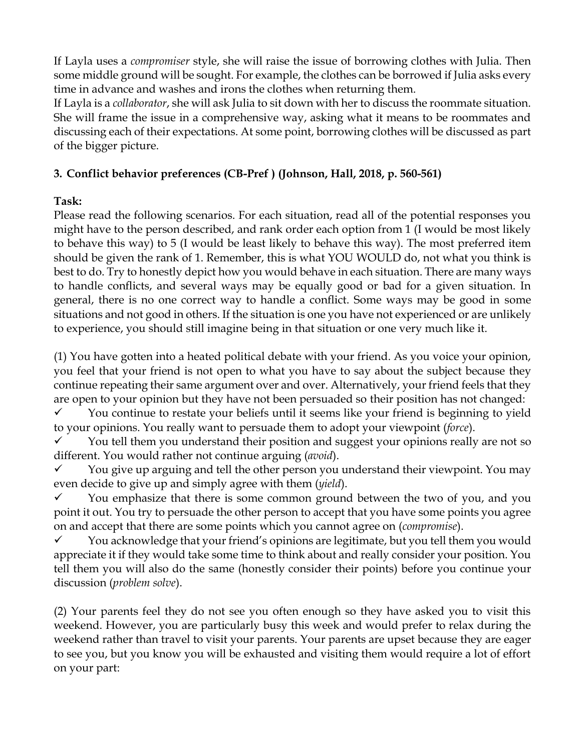If Layla uses a *compromiser* style, she will raise the issue of borrowing clothes with Julia. Then some middle ground will be sought. For example, the clothes can be borrowed if Julia asks every time in advance and washes and irons the clothes when returning them.

If Layla is a *collaborator*, she will ask Julia to sit down with her to discuss the roommate situation. She will frame the issue in a comprehensive way, asking what it means to be roommates and discussing each of their expectations. At some point, borrowing clothes will be discussed as part of the bigger picture.

# **3. Conflict behavior preferences (CB-Pref ) (Johnson, Hall, 2018, p. 560-561)**

## **Task:**

Please read the following scenarios. For each situation, read all of the potential responses you might have to the person described, and rank order each option from 1 (I would be most likely to behave this way) to 5 (I would be least likely to behave this way). The most preferred item should be given the rank of 1. Remember, this is what YOU WOULD do, not what you think is best to do. Try to honestly depict how you would behave in each situation. There are many ways to handle conflicts, and several ways may be equally good or bad for a given situation. In general, there is no one correct way to handle a conflict. Some ways may be good in some situations and not good in others. If the situation is one you have not experienced or are unlikely to experience, you should still imagine being in that situation or one very much like it.

(1) You have gotten into a heated political debate with your friend. As you voice your opinion, you feel that your friend is not open to what you have to say about the subject because they continue repeating their same argument over and over. Alternatively, your friend feels that they are open to your opinion but they have not been persuaded so their position has not changed:

 $\checkmark$  You continue to restate your beliefs until it seems like your friend is beginning to yield to your opinions. You really want to persuade them to adopt your viewpoint (*force*).

 $\checkmark$  You tell them you understand their position and suggest your opinions really are not so different. You would rather not continue arguing (*avoid*).

 $\checkmark$  You give up arguing and tell the other person you understand their viewpoint. You may even decide to give up and simply agree with them (*yield*).

 $\checkmark$  You emphasize that there is some common ground between the two of you, and you point it out. You try to persuade the other person to accept that you have some points you agree on and accept that there are some points which you cannot agree on (*compromise*).

 $\checkmark$  You acknowledge that your friend's opinions are legitimate, but you tell them you would appreciate it if they would take some time to think about and really consider your position. You tell them you will also do the same (honestly consider their points) before you continue your discussion (*problem solve*).

(2) Your parents feel they do not see you often enough so they have asked you to visit this weekend. However, you are particularly busy this week and would prefer to relax during the weekend rather than travel to visit your parents. Your parents are upset because they are eager to see you, but you know you will be exhausted and visiting them would require a lot of effort on your part: